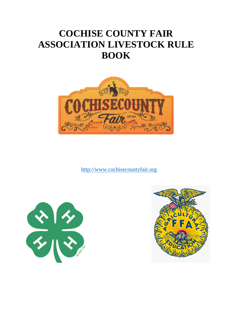# **COCHISE COUNTY FAIR ASSOCIATION LIVESTOCK RULE BOOK**



[http://www.cochisecountyfair.org](http://www.cochisecountyfair.org/)



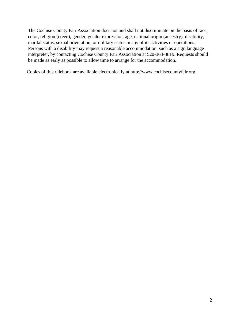The Cochise County Fair Association does not and shall not discriminate on the basis of race, color, religion (creed), gender, gender expression, age, national origin (ancestry), disability, marital status, sexual orientation, or military status in any of its activities or operations. Persons with a disability may request a reasonable accommodation, such as a sign language interpreter, by contacting Cochise County Fair Association at 520-364-3819. Requests should be made as early as possible to allow time to arrange for the accommodation.

Copies of this rulebook are available electronically at http://www.cochisecountyfair.org.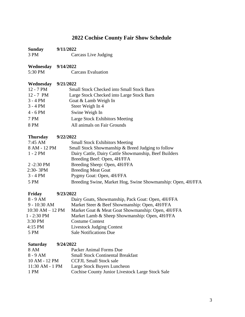# **2022 Cochise County Fair Show Schedule**

<span id="page-2-0"></span>

| <b>Sunday</b><br>3 PM                 | 9/11/2022<br>Carcass Live Judging                           |
|---------------------------------------|-------------------------------------------------------------|
| <b>Wednesday</b> 9/14/2022<br>5:30 PM | <b>Carcass Evaluation</b>                                   |
| Wednesday                             | 9/21/2022                                                   |
| 12 - 7 PM                             | <b>Small Stock Checked into Small Stock Barn</b>            |
| $12 - 7$ PM                           | Large Stock Checked into Large Stock Barn                   |
| $3 - 4 PM$                            | Goat & Lamb Weigh In                                        |
| $3 - 4 PM$                            | Steer Weigh In 4                                            |
| $4 - 6$ PM                            | Swine Weigh In                                              |
| 7 PM                                  | Large Stock Exhibitors Meeting                              |
| 8 PM                                  | All animals on Fair Grounds                                 |
|                                       |                                                             |
| <b>Thursday</b>                       | 9/22/2022                                                   |
| $7:45 \text{ AM}$                     | <b>Small Stock Exhibitors Meeting</b>                       |
| 8 AM - 12 PM                          | Small Stock Showmanship & Breed Judging to follow           |
| $1 - 2 PM$                            | Dairy Cattle, Dairy Cattle Showmanship, Beef Builders       |
|                                       | Breeding Beef: Open, 4H/FFA                                 |
| $2 - 2:30$ PM                         | Breeding Sheep: Open, 4H/FFA                                |
| $2:30-3PM$                            | <b>Breeding Meat Goat</b>                                   |
| $3 - 4 PM$                            | Pygmy Goat: Open, 4H/FFA                                    |
| 5 PM                                  | Breeding Swine, Market Hog, Swine Showmanship: Open, 4H/FFA |
| Friday                                | 9/23/2022                                                   |
| $8 - 9$ AM                            | Dairy Goats, Showmanship, Pack Goat: Open, 4H/FFA           |
| $9 - 10:30$ AM                        | Market Steer & Beef Showmanship: Open, 4H/FFA               |
| $10:30$ AM $-12$ PM                   | Market Goat & Meat Goat Showmanship: Open, 4H/FFA           |
| 1 - 2:30 PM                           | Market Lamb & Sheep Showmanship: Open, 4H/FFA               |
| 3:30 PM                               | <b>Costume Contest</b>                                      |
| $4:15$ PM                             | <b>Livestock Judging Contest</b>                            |
| 5 PM                                  | <b>Sale Notifications Due</b>                               |
| <b>Saturday</b>                       | 9/24/2022                                                   |
| 8 AM                                  | Packer Animal Forms Due                                     |
| $8 - 9$ AM                            | <b>Small Stock Continental Breakfast</b>                    |
| 10 AM - 12 PM                         | <b>CCFJL Small Stock sale</b>                               |
| 11:30 AM - 1 PM                       | Large Stock Buyers Luncheon                                 |
| 1 PM                                  | Cochise County Junior Livestock Large Stock Sale            |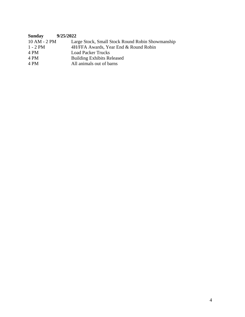| Sunday       | 9/25/2022                                        |
|--------------|--------------------------------------------------|
| 10 AM - 2 PM | Large Stock, Small Stock Round Robin Showmanship |
| $1 - 2 PM$   | 4H/FFA Awards, Year End & Round Robin            |
| 4 PM         | <b>Load Packer Trucks</b>                        |
| 4 PM         | <b>Building Exhibits Released</b>                |
| 4 PM         | All animals out of barns                         |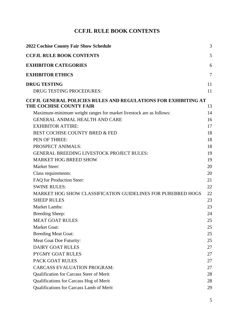# **CCFJL RULE BOOK CONTENTS**

<span id="page-4-0"></span>

| <b>2022 Cochise County Fair Show Schedule</b>                         |    |
|-----------------------------------------------------------------------|----|
| <b>CCFJL RULE BOOK CONTENTS</b>                                       | 5  |
| <b>EXHIBITOR CATEGORIES</b>                                           | 6  |
| <b>EXHIBITOR ETHICS</b>                                               | 7  |
| <b>DRUG TESTING</b>                                                   | 11 |
| DRUG TESTING PROCEDURES:                                              | 11 |
| <b>CCFJL GENERAL POLICIES RULES AND REGULATIONS FOR EXHIBITING AT</b> |    |
| THE COCHISE COUNTY FAIR                                               | 13 |
| Maximum-minimum weight ranges for market livestock are as follows:    | 14 |
| <b>GENERAL ANIMAL HEALTH AND CARE</b>                                 | 16 |
| <b>EXHIBITOR ATTIRE:</b>                                              | 17 |
| BEST COCHISE COUNTY BRED & FED                                        | 18 |
| PEN OF THREE:                                                         | 18 |
| PROSPECT ANIMALS:                                                     | 18 |
| <b>GENERAL BREEDING LIVESTOCK PROJECT RULES:</b>                      | 19 |
| <b>MARKET HOG BREED SHOW</b>                                          | 19 |
| <b>Market Steer:</b>                                                  | 20 |
| Class requirements:                                                   | 20 |
| FAQ for Production Steer:                                             | 21 |
| <b>SWINE RULES:</b>                                                   | 22 |
| MARKET HOG SHOW CLASSIFICATION GUIDELINES FOR PUREBRED HOGS           | 22 |
| <b>SHEEP RULES</b>                                                    | 23 |
| <b>Market Lambs:</b>                                                  | 23 |
| <b>Breeding Sheep:</b>                                                | 24 |
| <b>MEAT GOAT RULES</b>                                                | 25 |
| <b>Market Goat:</b>                                                   | 25 |
| <b>Breeding Meat Goat:</b>                                            | 25 |
| Meat Goat Doe Futurity:                                               | 25 |
| <b>DAIRY GOAT RULES</b>                                               | 27 |
| <b>PYGMY GOAT RULES</b>                                               | 27 |
| PACK GOAT RULES                                                       | 27 |
| <b>CARCASS EVALUATION PROGRAM:</b>                                    | 27 |
| Qualification for Carcass Steer of Merit                              | 28 |
| Qualifications for Carcass Hog of Merit                               | 28 |
| Qualifications for Carcass Lamb of Merit                              | 29 |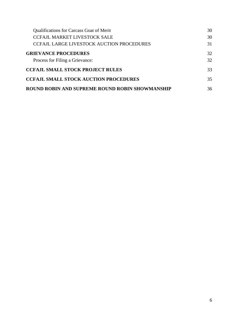<span id="page-5-0"></span>

| <b>Qualifications for Carcass Goat of Merit</b>        | 30 |
|--------------------------------------------------------|----|
| <b>CCFAJL MARKET LIVESTOCK SALE</b>                    | 30 |
| <b>CCFAJL LARGE LIVESTOCK AUCTION PROCEDURES</b>       | 31 |
| <b>GRIEVANCE PROCEDURES</b>                            | 32 |
| Process for Filing a Grievance:                        | 32 |
| <b>CCFAJL SMALL STOCK PROJECT RULES</b>                | 33 |
| <b>CCFAJL SMALL STOCK AUCTION PROCEDURES</b>           | 35 |
| <b>ROUND ROBIN AND SUPREME ROUND ROBIN SHOWMANSHIP</b> | 36 |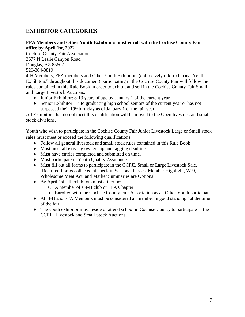# **EXHIBITOR CATEGORIES**

#### **FFA Members and Other Youth Exhibitors must enroll with the Cochise County Fair office by April 1st, 2022**

Cochise County Fair Association 3677 N Leslie Canyon Road Douglas, AZ 85607 520-364-3819

4-H Members, FFA members and Other Youth Exhibitors (collectively referred to as "Youth Exhibitors" throughout this document) participating in the Cochise County Fair will follow the rules contained in this Rule Book in order to exhibit and sell in the Cochise County Fair Small and Large Livestock Auctions.

- Junior Exhibitor: 8-13 years of age by January 1 of the current year.
- Senior Exhibitor: 14 to graduating high school seniors of the current year or has not surpassed their 19<sup>th</sup> birthday as of January 1 of the fair year.

All Exhibitors that do not meet this qualification will be moved to the Open livestock and small stock divisions.

Youth who wish to participate in the Cochise County Fair Junior Livestock Large or Small stock sales must meet or exceed the following qualifications.

- Follow all general livestock and small stock rules contained in this Rule Book.
- Must meet all existing ownership and tagging deadlines.
- Must have entries completed and submitted on time.
- Must participate in Youth Quality Assurance.
- Must fill out all forms to participate in the CCFJL Small or Large Livestock Sale. -Required Forms collected at check in Seasonal Passes, Member Highlight, W-9, Wholesome Meat Act, and Market Summaries are Optional
- By April 1st, all exhibitors must either be:
	- a. A member of a 4-H club or FFA Chapter
	- b. Enrolled with the Cochise County Fair Association as an Other Youth participant
- All 4-H and FFA Members must be considered a "member in good standing" at the time of the fair.
- <span id="page-6-0"></span>● The youth exhibitor must reside or attend school in Cochise County to participate in the CCFJL Livestock and Small Stock Auctions.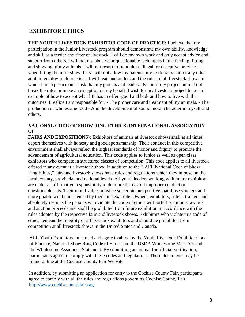### **EXHIBITOR ETHICS**

**THE YOUTH LIVESTOCK EXHIBITOR CODE OF PRACTICE:** I believe that my participation in the Junior Livestock program should demonstrate my own ability, knowledge and skill as a feeder and fitter of livestock. I will do my own work and only accept advice and support from others. I will not use abusive or questionable techniques in the feeding, fitting and showing of my animals. I will not resort to fraudulent, illegal, or deceptive practices when fitting them for show. I also will not allow my parents, my leader/advisor, or any other adult to employ such practices. I will read and understand the rules of all livestock shows in which I am a participant. I ask that my parents and leader/advisor of my project animal not break the rules or make an exception on my behalf. I wish for my livestock project to be an example of how to accept what life has to offer -good and bad- and how to live with the outcomes. I realize I am responsible for: - The proper care and treatment of my animals, - The production of wholesome food - And the development of sound moral character in myself-and others.

#### **NATIONAL CODE OF SHOW RING ETHICS (INTERNATIONAL ASSOCIATION OF**

**FAIRS AND EXPOSITIONS):** Exhibitors of animals at livestock shows shall at all times deport themselves with honesty and good sportsmanship. Their conduct in this competitive environment shall always reflect the highest standards of honor and dignity to promote the advancement of agricultural education. This code applies to junior as well as open class exhibitors who compete in structured classes of competition. This code applies to all livestock offered in any event at a livestock show. In addition to the "IAFE National Code of Show Ring Ethics," fairs and livestock shows have rules and regulations which they impose on the local, county, provincial and national levels. All youth leaders working with junior exhibitors are under an affirmative responsibility to do more than avoid improper conduct or questionable acts. Their moral values must be so certain and positive that those younger and more pliable will be influenced by their fine example. Owners, exhibitors, fitters, trainers and absolutely responsible persons who violate the code of ethics will forfeit premiums, awards and auction proceeds and shall be prohibited from future exhibition in accordance with the rules adopted by the respective fairs and livestock shows. Exhibitors who violate this code of ethics demean the integrity of all livestock exhibitors and should be prohibited from competition at all livestock shows in the United States and Canada.

ALL Youth Exhibitors must read and agree to abide by the Youth Livestock Exhibitor Code of Practice, National Show Ring Code of Ethics and the USDA Wholesome Meat Act and the Wholesome Assurance Statement. By submitting an animal for official verification, participants agree to comply with these codes and regulations. These documents may be found online at the Cochise County Fair Website.

In addition, by submitting an application for entry to the Cochise County Fair, participants agree to comply with all the rules and regulations governing Cochise County Fair [http://www.cochisecountyfair.org](http://cochisecountyfair.org/)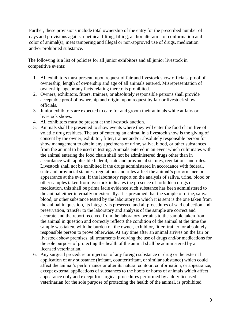Further, these provisions include total ownership of the entry for the prescribed number of days and provisions against unethical fitting, filling, and/or alteration of conformation and color of animal(s), meat tampering and illegal or non-approved use of drugs, medication and/or prohibited substance.

The following is a list of policies for all junior exhibitors and all junior livestock in competitive events:

- 1. All exhibitors must present, upon request of fair and livestock show officials, proof of ownership, length of ownership and age of all animals entered. Misrepresentation of ownership, age or any facts relating thereto is prohibited.
- 2. Owners, exhibitors, fitters, trainers, or absolutely responsible persons shall provide acceptable proof of ownership and origin, upon request by fair or livestock show officials.
- 3. Junior exhibitors are expected to care for and groom their animals while at fairs or livestock shows.
- 4. All exhibitors must be present at the livestock auction.
- 5. Animals shall be presented to show events where they will enter the food chain free of volatile drug residues. The act of entering an animal in a livestock show is the giving of consent by the owner, exhibitor, fitter, trainer and/or absolutely responsible person for show management to obtain any specimens of urine, saliva, blood, or other substances from the animal to be used in testing. Animals entered in an event which culminates with the animal entering the food chain shall not be administered drugs other than in accordance with applicable federal, state and provincial statutes, regulations and rules. Livestock shall not be exhibited if the drugs administered in accordance with federal, state and provincial statutes, regulations and rules affect the animal's performance or appearance at the event. If the laboratory report on the analysis of saliva, urine, blood or other samples taken from livestock indicates the presence of forbidden drugs or medication, this shall be prima facie evidence such substance has been administered to the animal either internally or externally. It is presumed that the sample of urine, saliva, blood, or other substance tested by the laboratory to which it is sent is the one taken from the animal in question, its integrity is preserved and all procedures of said collection and preservation, transfer to the laboratory and analysis of the sample are correct and accurate and the report received from the laboratory pertains to the sample taken from the animal in question and correctly reflects the condition of the animal at the time the sample was taken, with the burden on the owner, exhibitor, fitter, trainer, or absolutely responsible person to prove otherwise. At any time after an animal arrives on the fair or livestock show premises, all treatments involving the use of drugs and/or medications for the sole purpose of protecting the health of the animal shall be administered by a licensed veterinarian.
- 6. Any surgical procedure or injection of any foreign substance or drug or the external application of any substance (irritant, counterirritant, or similar substance) which could affect the animal's performance or alter its natural contour, conformation, or appearance, except external applications of substances to the hoofs or horns of animals which affect appearance only and except for surgical procedures performed by a duly licensed veterinarian for the sole purpose of protecting the health of the animal, is prohibited.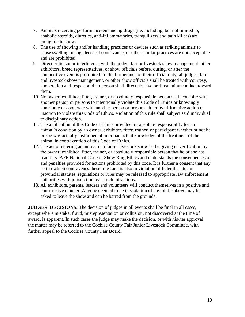- 7. Animals receiving performance-enhancing drugs (i.e. including, but not limited to, anabolic steroids, diuretics, anti-inflammatories, tranquilizers and pain killers) are ineligible to show.
- 8. The use of showing and/or handling practices or devices such as striking animals to cause swelling, using electrical contrivance, or other similar practices are not acceptable and are prohibited.
- 9. Direct criticism or interference with the judge, fair or livestock show management, other exhibitors, breed representatives, or show officials before, during, or after the competitive event is prohibited. In the furtherance of their official duty, all judges, fair and livestock show management, or other show officials shall be treated with courtesy, cooperation and respect and no person shall direct abusive or threatening conduct toward them.
- 10. No owner, exhibitor, fitter, trainer, or absolutely responsible person shall conspire with another person or persons to intentionally violate this Code of Ethics or knowingly contribute or cooperate with another person or persons either by affirmative action or inaction to violate this Code of Ethics. Violation of this rule shall subject said individual to disciplinary action.
- 11. The application of this Code of Ethics provides for absolute responsibility for an animal's condition by an owner, exhibitor, fitter, trainer, or participant whether or not he or she was actually instrumental in or had actual knowledge of the treatment of the animal in contravention of this Code of Ethics.
- 12. The act of entering an animal in a fair or livestock show is the giving of verification by the owner, exhibitor, fitter, trainer, or absolutely responsible person that he or she has read this IAFE National Code of Show Ring Ethics and understands the consequences of and penalties provided for actions prohibited by this code. It is further a consent that any action which contravenes these rules and is also in violation of federal, state, or provincial statutes, regulations or rules may be released to appropriate law enforcement authorities with jurisdiction over such infractions.
- 13. All exhibitors, parents, leaders and volunteers will conduct themselves in a positive and constructive manner. Anyone deemed to be in violation of any of the above may be asked to leave the show and can be barred from the grounds.

**JUDGES' DECISIONS:** The decision of judges in all events shall be final in all cases, except where mistake, fraud, misrepresentation or collusion, not discovered at the time of award, is apparent. In such cases the judge may make the decision, or with his/her approval, the matter may be referred to the Cochise County Fair Junior Livestock Committee, with further appeal to the Cochise County Fair Board.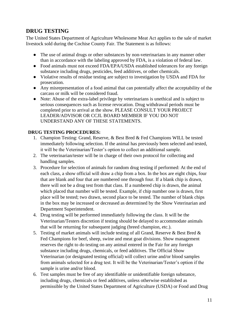# <span id="page-10-0"></span>**DRUG TESTING**

The United States Department of Agriculture Wholesome Meat Act applies to the sale of market livestock sold during the Cochise County Fair. The Statement is as follows:

- The use of animal drugs or other substances by non-veterinarians in any manner other than in accordance with the labeling approved by FDA, is a violation of federal law.
- Food animals must not exceed FDA/EPA/USDA established tolerances for any foreign substance including drugs, pesticides, feed additives, or other chemicals.
- Violative results of residue testing are subject to investigation by USDA and FDA for prosecution.
- Any misrepresentation of a food animal that can potentially affect the acceptability of the carcass or milk will be considered fraud.
- Note: Abuse of the extra-label privilege by veterinarians is unethical and is subject to serious consequences such as license revocation. Drug withdrawal periods must be completed prior to arrival at the show. PLEASE CONSULT YOUR PROJECT LEADER/ADVISOR OR CCJL BOARD MEMBER IF YOU DO NOT UNDERSTAND ANY OF THESE STATEMENTS.

#### <span id="page-10-1"></span>**DRUG TESTING PROCEDURES:**

- 1. Champion Testing: Grand, Reserve, & Best Bred & Fed Champions WILL be tested immediately following selection. If the animal has previously been selected and tested, it will be the Veterinarian/Tester's option to collect an additional sample.
- 2. The veterinarian/tester will be in charge of their own protocol for collecting and handling samples.
- 3. Procedure for selection of animals for random drug testing if performed: At the end of each class, a show official will draw a chip from a box. In the box are eight chips, four that are blank and four that are numbered one through four. If a blank chip is drawn, there will not be a drug test from that class. If a numbered chip is drawn, the animal which placed that number will be tested. Example, if chip number one is drawn, first place will be tested; two drawn, second place to be tested. The number of blank chips in the box may be increased or decreased as determined by the Show Veterinarian and Department Superintendent.
- 4. Drug testing will be performed immediately following the class. It will be the Veterinarian/Testers discretion if testing should be delayed to accommodate animals that will be returning for subsequent judging (breed champion, etc.).
- 5. Testing of market animals will include testing of all Grand, Reserve & Best Bred & Fed Champions for beef, sheep, swine and meat goat divisions. Show management reserves the right to do testing on any animal entered in the Fair for any foreign substance including drugs, chemicals, or feed additives. The Official Show Veterinarian (or designated testing official) will collect urine and/or blood samples from animals selected for a drug test. It will be the Veterinarian/Tester's option if the sample is urine and/or blood.
- 6. Test samples must be free of any identifiable or unidentifiable foreign substance, including drugs, chemicals or feed additives, unless otherwise established as permissible by the United States Department of Agriculture (USDA) or Food and Drug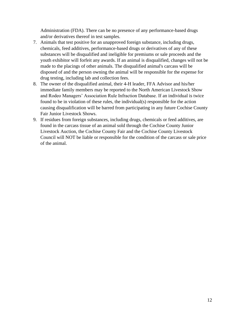Administration (FDA). There can be no presence of any performance-based drugs and/or derivatives thereof in test samples.

- 7. Animals that test positive for an unapproved foreign substance, including drugs, chemicals, feed additives, performance-based drugs or derivatives of any of these substances will be disqualified and ineligible for premiums or sale proceeds and the youth exhibitor will forfeit any awards. If an animal is disqualified, changes will not be made to the placings of other animals. The disqualified animal's carcass will be disposed of and the person owning the animal will be responsible for the expense for drug testing, including lab and collection fees.
- 8. The owner of the disqualified animal, their 4-H leader, FFA Advisor and his/her immediate family members may be reported to the North American Livestock Show and Rodeo Managers' Association Rule Infraction Database. If an individual is twice found to be in violation of these rules, the individual(s) responsible for the action causing disqualification will be barred from participating in any future Cochise County Fair Junior Livestock Shows.
- 9. If residues from foreign substances, including drugs, chemicals or feed additives, are found in the carcass tissue of an animal sold through the Cochise County Junior Livestock Auction, the Cochise County Fair and the Cochise County Livestock Council will NOT be liable or responsible for the condition of the carcass or sale price of the animal.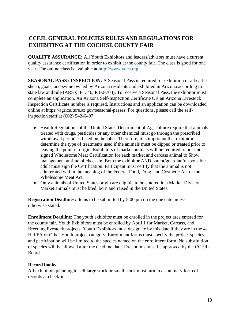# <span id="page-12-0"></span>**CCFJL GENERAL POLICIES RULES AND REGULATIONS FOR EXHIBITING AT THE COCHISE COUNTY FAIR**

**QUALITY ASSURANCE:** All Youth Exhibitors and leaders/advisors must have a current quality assurance certification in order to exhibit at the county fair. The class is good for one year. The online class is available at [http://www.yqca.org.](http://www.yqca.org/)

**SEASONAL PASS / INSPECTION:** A Seasonal Pass is required for exhibition of all cattle, sheep, goats, and swine owned by Arizona residents and exhibited in Arizona according to state law and rule (ARS § 3-1346, R3-2-703). To receive a Seasonal Pass, the exhibitor must complete an application. An Arizona Self-Inspection Certificate OR an Arizona Livestock Inspection Certificate number is required. Instructions and an application can be downloaded online at https://agriculture.az.gov/seasonal-passes. For questions, please call the selfinspection staff at (602) 542-6407.

- Health Regulations of the United States Department of Agriculture require that animals treated with drugs, pesticides or any other chemical must go through the prescribed withdrawal period as listed on the label. Therefore, it is important that exhibitors determine the type of treatments used if the animals must be dipped or treated prior to leaving the point of origin. Exhibitors of market animals will be required to present a signed Wholesome Meat Certification for each market and carcass animal to Show management at time of check-in. Both the exhibitor AND parent/guardian/responsible adult must sign the Certification. Participant must certify that the animal is not adulterated within the meaning of the Federal Food, Drug, and Cosmetic Act or the Wholesome Meat Act.
- Only animals of United States origin are eligible to be entered in a Market Division. Market animals must be bred, born and raised in the United States.

**Registration Deadlines:** Items to be submitted by 5:00 pm on the due date unless otherwise stated.

**Enrollment Deadline:** The youth exhibitor must be enrolled in the project area entered for the county fair. Youth Exhibitors must be enrolled by April 1 for Market, Carcass, and Breeding livestock projects. Youth Exhibitors must designate by this date if they are in the 4- H, FFA or Other Youth project category. Enrollment forms must specify the project species and participation will be limited to the species named on the enrollment form. No substitution of species will be allowed after the deadline date. Exceptions must be approved by the CCFJL Board.

#### **Record books**

All exhibitors planning to sell large stock or small stock must turn in a summary form of records at check-in.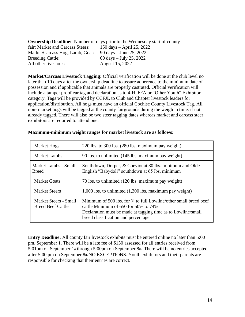| <b>Ownership Deadline:</b> Number of days prior to the Wednesday start of county |                             |  |  |  |
|----------------------------------------------------------------------------------|-----------------------------|--|--|--|
| fair: Market and Carcass Steers:                                                 | 150 days $-$ April 25, 2022 |  |  |  |
| Market/Carcass Hog, Lamb, Goat:                                                  | 90 days $-$ June 25, 2022   |  |  |  |
| <b>Breeding Cattle:</b>                                                          | 60 days $-$ July 25, 2022   |  |  |  |
| All other livestock:                                                             | August 15, 2022             |  |  |  |

**Market/Carcass Livestock Tagging:** Official verification will be done at the club level no later than 10 days after the ownership deadline to assure adherence to the minimum date of possession and if applicable that animals are properly castrated. Official verification will include a tamper proof ear tag and declaration as to 4-H, FFA or "Other Youth" Exhibitor category. Tags will be provided by CCFJL to Club and Chapter livestock leaders for application/distribution. All hogs must have an official Cochise County Livestock Tag. All non- market hogs will be tagged at the county fairgrounds during the weigh in time, if not already tagged. There will also be two steer tagging dates whereas market and carcass steer exhibitors are required to attend one.

| <b>Market Hogs</b>                                | 220 lbs. to 300 lbs. (280 lbs. maximum pay weight)                                                                                                                                                                        |
|---------------------------------------------------|---------------------------------------------------------------------------------------------------------------------------------------------------------------------------------------------------------------------------|
| <b>Market Lambs</b>                               | 90 lbs. to unlimited (145 lbs. maximum pay weight)                                                                                                                                                                        |
| Market Lambs - Small<br><b>Breed</b>              | Southdown, Dorper, & Cheviot at 80 lbs. minimum and Olde<br>English "Babydoll" southdown at 65 lbs. minimum                                                                                                               |
| <b>Market Goats</b>                               | 70 lbs. to unlimited (120 lbs. maximum pay weight)                                                                                                                                                                        |
| <b>Market Steers</b>                              | $1,000$ lbs. to unlimited $(1,300$ lbs. maximum pay weight)                                                                                                                                                               |
| Market Steers - Small<br><b>Breed Beef Cattle</b> | Minimum of 500 lbs. for 34 to full Lowline/other small breed beef<br>cattle Minimum of $650$ for $50\%$ to $74\%$<br>Declaration must be made at tagging time as to Lowline/small<br>breed classification and percentage. |

#### <span id="page-13-0"></span>**Maximum-minimum weight ranges for market livestock are as follows:**

**Entry Deadline:** All county fair livestock exhibits must be entered online no later than 5:00 pm, September 1. There will be a late fee of \$150 assessed for all entries received from 5:01pm on September 1st through 5:00pm on September 8th. There will be no entries accepted after 5:00 pm on September 8th NO EXCEPTIONS. Youth exhibitors and their parents are responsible for checking that their entries are correct.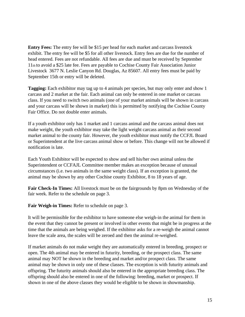**Entry Fees:** The entry fee will be \$15 per head for each market and carcass livestock exhibit. The entry fee will be \$5 for all other livestock. Entry fees are due for the number of head entered. Fees are not refundable. All fees are due and must be received by September 11th to avoid a \$25 late fee. Fees are payable to Cochise County Fair Association Junior Livestock 3677 N. Leslie Canyon Rd. Douglas, Az 85607. All entry fees must be paid by September 15th or entry will be deleted.

**Tagging:** Each exhibitor may tag up to 4 animals per species, but may only enter and show 1 carcass and 2 market at the fair. Each animal can only be entered in one market or carcass class. If you need to switch two animals (one of your market animals will be shown in carcass and your carcass will be shown in market) this is permitted by notifying the Cochise County Fair Office. Do not double enter animals.

If a youth exhibitor only has 1 market and 1 carcass animal and the carcass animal does not make weight, the youth exhibitor may take the light weight carcass animal as their second market animal to the county fair. However, the youth exhibitor must notify the CCFJL Board or Superintendent at the live carcass animal show or before. This change will not be allowed if notification is late.

Each Youth Exhibitor will be expected to show and sell his/her own animal unless the Superintendent or CCFAJL Committee member makes an exception because of unusual circumstances (i.e. two animals in the same weight class). If an exception is granted, the animal may be shown by any other Cochise county Exhibitor, 8 to 18 years of age.

**Fair Check-In Times:** All livestock must be on the fairgrounds by 8pm on Wednesday of the fair week. Refer to the schedule on page 3.

**Fair Weigh-in Times:** Refer to schedule on page 3.

It will be permissible for the exhibitor to have someone else weigh-in the animal for them in the event that they cannot be present or involved in other events that might be in progress at the time that the animals are being weighed. If the exhibitor asks for a re-weigh the animal cannot leave the scale area, the scales will be zeroed and then the animal re-weighed.

If market animals do not make weight they are automatically entered in breeding, prospect or open. The 4th animal may be entered in futurity, breeding, or the prospect class. The same animal may NOT be shown in the breeding and market and/or prospect class. The same animal may be shown in only one of these classes. The exception is with futurity animals and offspring. The futurity animals should also be entered in the appropriate breeding class. The offspring should also be entered in one of the following: breeding, market or prospect. If shown in one of the above classes they would be eligible to be shown in showmanship.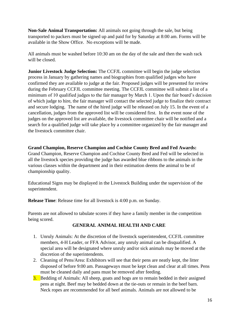**Non-Sale Animal Transportation:** All animals not going through the sale, but being transported to packers must be signed up and paid for by Saturday at 8:00 am. Forms will be available in the Show Office. No exceptions will be made.

All animals must be washed before 10:30 am on the day of the sale and then the wash rack will be closed.

**Junior Livestock Judge Selection:** The CCFJL committee will begin the judge selection process in January by gathering names and biographies from qualified judges who have confirmed they are available to judge at the fair. Proposed judges will be presented for review during the February CCFJL committee meeting. The CCFJL committee will submit a list of a minimum of 10 qualified judges to the fair manager by March 1. Upon the fair board's decision of which judge to hire, the fair manager will contact the selected judge to finalize their contract and secure lodging. The name of the hired judge will be released on July 15. In the event of a cancellation, judges from the approved list will be considered first. In the event none of the judges on the approved list are available, the livestock committee chair will be notified and a search for a qualified judge will take place by a committee organized by the fair manager and the livestock committee chair.

#### **Grand Champion, Reserve Champion and Cochise County Bred and Fed Awards:**

Grand Champion, Reserve Champion and Cochise County Bred and Fed will be selected in all the livestock species providing the judge has awarded blue ribbons to the animals in the various classes within the department and in their estimation deems the animal to be of championship quality.

Educational Signs may be displayed in the Livestock Building under the supervision of the superintendent.

**Release Time**: Release time for all livestock is 4:00 p.m. on Sunday.

<span id="page-15-0"></span>Parents are not allowed to tabulate scores if they have a family member in the competition being scored.

#### **GENERAL ANIMAL HEALTH AND CARE**

- 1. Unruly Animals: At the discretion of the livestock superintendent, CCFJL committee members, 4-H Leader, or FFA Advisor, any unruly animal can be disqualified. A special area will be designated where unruly and/or sick animals may be moved at the discretion of the superintendents.
- 2. Cleaning of Pens/Area: Exhibitors will see that their pens are neatly kept, the litter disposed of before 9:00 am. Passageways must be kept clean and clear at all times. Pens must be cleaned daily and pans must be removed after feeding.
- 3. Bedding of Animals: All sheep, goats and hogs are to remain bedded in their assigned pens at night. Beef may be bedded down at the tie-outs or remain in the beef barn. Neck ropes are recommended for all beef animals. Animals are not allowed to be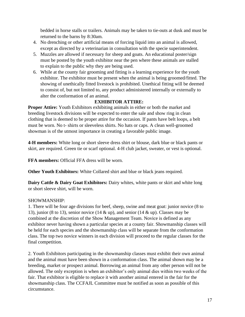bedded in horse stalls or trailers. Animals may be taken to tie-outs at dusk and must be returned to the barns by 8:30am.

- 4. No drenching or other artificial means of forcing liquid into an animal is allowed, except as directed by a veterinarian in consultation with the specie superintendent.
- 5. Muzzles are allowed if necessary for sheep and goats. An educational poster/sign must be posted by the youth exhibitor near the pen where these animals are stalled to explain to the public why they are being used.
- 6. While at the county fair grooming and fitting is a learning experience for the youth exhibitor. The exhibitor must be present when the animal is being groomed/fitted. The showing of unethically fitted livestock is prohibited. Unethical fitting will be deemed to consist of, but not limited to, any product administered internally or externally to alter the conformation of an animal.

#### **EXHIBITOR ATTIRE:**

<span id="page-16-0"></span>**Proper Attire:** Youth Exhibitors exhibiting animals in either or both the market and breeding livestock divisions will be expected to enter the sale and show ring in clean clothing that is deemed to be proper attire for the occasion. If pants have belt loops, a belt must be worn. No t- shirts or sleeveless shirts. No hats or caps. A clean well-groomed showman is of the utmost importance in creating a favorable public image.

**4-H members:** White long or short sleeve dress shirt or blouse, dark blue or black pants or skirt, are required. Green tie or scarf optional. 4-H club jacket, sweater, or vest is optional.

**FFA members:** Official FFA dress will be worn.

**Other Youth Exhibitors:** White Collared shirt and blue or black jeans required.

**Dairy Cattle & Dairy Goat Exhibitors:** Dairy whites, white pants or skirt and white long or short sleeve shirt, will be worn.

#### SHOWMANSHIP:

1. There will be four age divisions for beef, sheep, swine and meat goat: junior novice (8 to 13), junior (8 to 13), senior novice (14 & up), and senior (14 & up). Classes may be combined at the discretion of the Show Management Team. Novice is defined as any exhibitor never having shown a particular species at a county fair. Showmanship classes will be held for each species and the showmanship class will be separate from the conformation class. The top two novice winners in each division will proceed to the regular classes for the final competition.

2. Youth Exhibitors participating in the showmanship classes must exhibit their own animal and the animal must have been shown in a conformation class. The animal shown may be a breeding, market or prospect animal. Borrowing an animal from any other person will not be allowed. The only exception is when an exhibitor's only animal dies within two weeks of the fair. That exhibitor is eligible to replace it with another animal entered in the fair for the showmanship class. The CCFAJL Committee must be notified as soon as possible of this circumstance.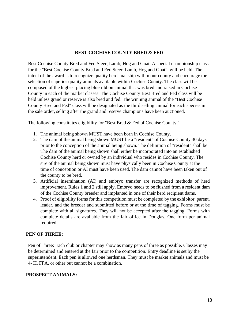#### **BEST COCHISE COUNTY BRED & FED**

<span id="page-17-0"></span>Best Cochise County Bred and Fed Steer, Lamb, Hog and Goat. A special championship class for the "Best Cochise County Bred and Fed Steer, Lamb, Hog and Goat", will be held. The intent of the award is to recognize quality herdsmanship within our county and encourage the selection of superior quality animals available within Cochise County. The class will be composed of the highest placing blue ribbon animal that was bred and raised in Cochise County in each of the market classes. The Cochise County Best Bred and Fed class will be held unless grand or reserve is also bred and fed. The winning animal of the "Best Cochise County Bred and Fed" class will be designated as the third selling animal for each species in the sale order, selling after the grand and reserve champions have been auctioned.

The following constitutes eligibility for "Best Bred & Fed of Cochise County."

- 1. The animal being shown MUST have been born in Cochise County.
- 2. The dam of the animal being shown MUST be a "resident" of Cochise County 30 days prior to the conception of the animal being shown. The definition of "resident" shall be: The dam of the animal being shown shall either be incorporated into an established Cochise County herd or owned by an individual who resides in Cochise County. The sire of the animal being shown must have physically been in Cochise County at the time of conception or AI must have been used. The dam cannot have been taken out of the county to be bred.
- 3. Artificial insemination (AI) and embryo transfer are recognized methods of herd improvement. Rules 1 and 2 still apply. Embryo needs to be flushed from a resident dam of the Cochise County breeder and implanted in one of their herd recipient dams.
- 4. Proof of eligibility forms for this competition must be completed by the exhibitor, parent, leader, and the breeder and submitted before or at the time of tagging. Forms must be complete with all signatures. They will not be accepted after the tagging. Forms with complete details are available from the fair office in Douglas. One form per animal required.

#### <span id="page-17-1"></span>**PEN OF THREE:**

Pen of Three: Each club or chapter may show as many pens of three as possible. Classes may be determined and entered at the fair prior to the competition. Entry deadline is set by the superintendent. Each pen is allowed one herdsman. They must be market animals and must be 4- H, FFA, or other but cannot be a combination.

#### <span id="page-17-2"></span>**PROSPECT ANIMALS:**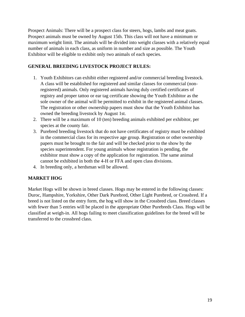Prospect Animals: There will be a prospect class for steers, hogs, lambs and meat goats. Prospect animals must be owned by August 15th. This class will not have a minimum or maximum weight limit. The animals will be divided into weight classes with a relatively equal number of animals in each class, as uniform in number and size as possible. The Youth Exhibitor will be eligible to exhibit only two animals of each species.

#### <span id="page-18-0"></span>**GENERAL BREEDING LIVESTOCK PROJECT RULES:**

- 1. Youth Exhibitors can exhibit either registered and/or commercial breeding livestock. A class will be established for registered and similar classes for commercial (nonregistered) animals. Only registered animals having duly certified certificates of registry and proper tattoo or ear tag certificate showing the Youth Exhibitor as the sole owner of the animal will be permitted to exhibit in the registered animal classes. The registration or other ownership papers must show that the Youth Exhibitor has owned the breeding livestock by August 1st.
- 2. There will be a maximum of 10 (ten) breeding animals exhibited per exhibitor, per species at the county fair.
- 3. Purebred breeding livestock that do not have certificates of registry must be exhibited in the commercial class for its respective age group. Registration or other ownership papers must be brought to the fair and will be checked prior to the show by the species superintendent. For young animals whose registration is pending, the exhibitor must show a copy of the application for registration. The same animal cannot be exhibited in both the 4-H or FFA and open class divisions.
- 4. In breeding only, a herdsman will be allowed.

### <span id="page-18-1"></span>**MARKET HOG**

Market Hogs will be shown in breed classes. Hogs may be entered in the following classes: Duroc, Hampshire, Yorkshire, Other Dark Purebred, Other Light Purebred, or Crossbred. If a breed is not listed on the entry form, the hog will show in the Crossbred class. Breed classes with fewer than 5 entries will be placed in the appropriate Other Purebreds Class. Hogs will be classified at weigh-in. All hogs failing to meet classification guidelines for the breed will be transferred to the crossbred class.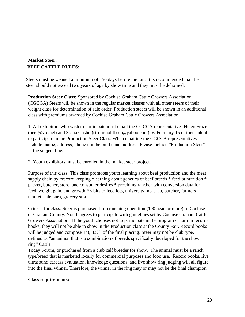### <span id="page-19-0"></span>**Market Steer: BEEF CATTLE RULES:**

Steers must be weaned a minimum of 150 days before the fair. It is recommended that the steer should not exceed two years of age by show time and they must be dehorned.

**Production Steer Class:** Sponsored by Cochise Graham Cattle Growers Association (CGCGA) Steers will be shown in the regular market classes with all other steers of their weight class for determination of sale order. Production steers will be shown in an additional class with premiums awarded by Cochise Graham Cattle Growers Association.

1. All exhibitors who wish to participate must email the CGCCA representatives Helen Fraze (beef@vtc.net) and Sonia Gasho (strongholdbeef@yahoo.com) by February 15 of their intent to participate in the Production Steer Class. When emailing the CGCCA representatives include: name, address, phone number and email address. Please include "Production Steer" in the subject line.

2. Youth exhibitors must be enrolled in the market steer project.

Purpose of this class: This class promotes youth learning about beef production and the meat supply chain by \*record keeping \*learning about genetics of beef breeds \* feedlot nutrition \* packer, butcher, store, and consumer desires \* providing rancher with conversion data for feed, weight gain, and growth \* visits to feed lots, university meat lab, butcher, farmers market, sale barn, grocery store.

Criteria for class: Steer is purchased from ranching operation (100 head or more) in Cochise or Graham County. Youth agrees to participate with guidelines set by Cochise Graham Cattle Growers Association. If the youth chooses not to participate in the program or turn in records books, they will not be able to show in the Production class at the County Fair. Record books will be judged and compose  $1/3$ , 33%, of the final placing. Steer may not be club type, defined as "an animal that is a combination of breeds specifically developed for the show ring" Cattle

Today Forum, or purchased from a club calf breeder for show. The animal must be a ranch type/breed that is marketed locally for commercial purposes and food use. Record books, live ultrasound carcass evaluation, knowledge questions, and live show ring judging will all figure into the final winner. Therefore, the winner in the ring may or may not be the final champion.

#### <span id="page-19-1"></span>**Class requirements:**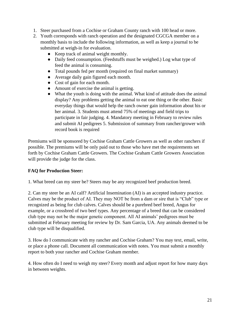- 1. Steer purchased from a Cochise or Graham County ranch with 100 head or more.
- 2. Youth corresponds with ranch operation and the designated CGCGA member on a monthly basis to include the following information, as well as keep a journal to be submitted at weigh-in for evaluation.
	- Keep track of animal weight monthly.
	- Daily feed consumption. (Feedstuffs must be weighed.) Log what type of feed the animal is consuming.
	- Total pounds fed per month (required on final market summary)
	- Average daily gain figured each month.
	- Cost of gain for each month.
	- Amount of exercise the animal is getting.
	- What the youth is doing with the animal. What kind of attitude does the animal display? Any problems getting the animal to eat one thing or the other. Basic everyday things that would help the ranch owner gain information about his or her animal. 3. Students must attend 75% of meetings and field trips to participate in fair judging. 4. Mandatory meeting in February to review rules and submit AI pedigrees 5. Submission of summary from rancher/grower with record book is required

Premiums will be sponsored by Cochise Graham Cattle Growers as well as other ranchers if possible. The premiums will be only paid out to those who have met the requirements set forth by Cochise Graham Cattle Growers. The Cochise Graham Cattle Growers Association will provide the judge for the class.

#### <span id="page-20-0"></span>**FAQ for Production Steer:**

1. What breed can my steer be? Steers may be any recognized beef production breed.

2. Can my steer be an AI calf? Artificial Insemination (AI) is an accepted industry practice. Calves may be the product of AI. They may NOT be from a dam or sire that is "Club" type or recognized as being for club calves. Calves should be a purebred beef breed, Angus for example, or a crossbred of two beef types. Any percentage of a breed that can be considered club type may not be the major genetic component. All AI animals' pedigrees must be submitted at February meeting for review by Dr. Sam Garcia, UA. Any animals deemed to be club type will be disqualified.

3. How do I communicate with my rancher and Cochise Graham? You may text, email, write, or place a phone call. Document all communication with notes. You must submit a monthly report to both your rancher and Cochise Graham member.

4. How often do I need to weigh my steer? Every month and adjust report for how many days in between weights.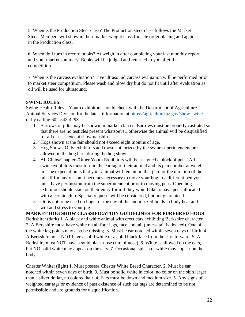5. When is the Production Steer class? The Production steer class follows the Market Steer. Members will show in their market weight class for sale order placing and again in the Production class.

6. When do I turn in record books? At weigh in after completing your last monthly report and your market summary. Books will be judged and returned to you after the competition.

7. When is the carcass evaluation? Live ultrasound carcass evaluation will be performed prior to market steer competition. Please wash and blow dry but do not fit until after evaluation as oil will be used for ultrasound.

#### <span id="page-21-0"></span>**SWINE RULES:**

Swine Health Rules – Youth exhibitors should check with the Department of Agriculture Animal Services Division for the latest information at https://agriculture.az.gov/show-swine or by calling 602-542-4293.

- 1. Barrows or gilts may be shown in market classes. Barrows must be properly castrated so that there are no testicles present whatsoever, otherwise the animal will be disqualified for all classes except showmanship.
- 2. Hogs shown at the fair should not exceed eight months of age.
- 3. Hog Show Only exhibitors and those authorized by the swine superintendent are allowed in the hog barn during the hog show.
- 4. All Clubs/Chapters/Other Youth Exhibitors will be assigned a block of pens. All swine exhibitors must turn in the ear tag of their animal and its pen number at weigh in. The expectation is that your animal will remain in that pen for the duration of the fair. If for any reason it becomes necessary to move your hog to a different pen you must have permission from the superintendent prior to moving pens. Open hog exhibitors should state on their entry form if they would like to have pens allocated with a certain club. Special requests will be considered, but not guaranteed.
- 5. Oil is not to be used on hogs for the day of the auction. Oil holds in body heat and will add stress to your pig.

<span id="page-21-1"></span>**MARKET HOG SHOW CLASSIFICATION GUIDELINES FOR PUREBRED HOGS** Berkshire: (dark) 1. A black and white animal with erect ears exhibiting Berkshire character. 2. A Berkshire must have white on all four legs, face and tail (unless tail is docked). One of the white leg points may also be missing. 3. Must be ear notched within seven days of birth. 4. A Berkshire must NOT have a solid white or a solid black face from the ears forward. 5. A Berkshire must NOT have a solid black nose (rim of nose). 6. White is allowed on the ears, but NO solid white may appear on the ears. 7. Occasional splash of white may appear on the body.

Chester White: (light) 1. Must possess Chester White Breed Character. 2. Must be ear notched within seven days of birth. 3. Must be solid white in color, no color on the skin larger than a silver dollar, no colored hair. 4. Ears must be down and medium size. 5. Any signs of weighted ear tags or evidence of past existence of such ear tags are determined to be not permissible and are grounds for disqualification.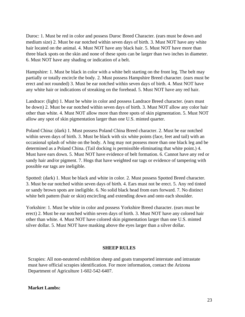Duroc: 1. Must be red in color and possess Duroc Breed Character. (ears must be down and medium size) 2. Must be ear notched within seven days of birth. 3. Must NOT have any white hair located on the animal. 4. Must NOT have any black hair. 5. Must NOT have more than three black spots on the skin and none of these spots can be larger than two inches in diameter. 6. Must NOT have any shading or indication of a belt.

Hampshire: 1. Must be black in color with a white belt starting on the front leg. The belt may partially or totally encircle the body. 2. Must possess Hampshire Breed character. (ears must be erect and not rounded) 3. Must be ear notched within seven days of birth. 4. Must NOT have any white hair or indications of streaking on the forehead. 5. Must NOT have any red hair.

Landrace: (light) 1. Must be white in color and possess Landrace Breed character. (ears must be down) 2. Must be ear notched within seven days of birth. 3. Must NOT allow any color hair other than white. 4. Must NOT allow more than three spots of skin pigmentation. 5. Must NOT allow any spot of skin pigmentation larger than one U.S. minted quarter.

Poland China: (dark) 1. Must possess Poland China Breed character. 2. Must be ear notched within seven days of birth. 3. Must be black with six white points (face, feet and tail) with an occasional splash of white on the body. A hog may not possess more than one black leg and be determined as a Poland China. (Tail docking is permissible eliminating that white point.) 4. Must have ears down. 5. Must NOT have evidence of belt formation. 6. Cannot have any red or sandy hair and/or pigment. 7. Hogs that have weighted ear tags or evidence of tampering with possible ear tags are ineligible.

Spotted: (dark) 1. Must be black and white in color. 2. Must possess Spotted Breed character. 3. Must be ear notched within seven days of birth. 4. Ears must not be erect. 5. Any red tinted or sandy brown spots are ineligible. 6. No solid black head from ears forward. 7. No distinct white belt pattern (hair or skin) encircling and extending down and onto each shoulder.

Yorkshire: 1. Must be white in color and possess Yorkshire Breed character. (ears must be erect) 2. Must be ear notched within seven days of birth. 3. Must NOT have any colored hair other than white. 4. Must NOT have colored skin pigmentation larger than one U.S. minted silver dollar. 5. Must NOT have masking above the eyes larger than a silver dollar.

#### **SHEEP RULES**

<span id="page-22-0"></span>Scrapies: All non-neutered exhibition sheep and goats transported interstate and intrastate must have official scrapies identification. For more information, contact the Arizona Department of Agriculture 1-602-542-6407.

#### <span id="page-22-1"></span>**Market Lambs:**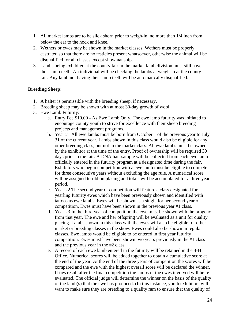- 1. All market lambs are to be slick shorn prior to weigh-in, no more than 1/4 inch from below the ear to the hock and knee.
- 2. Wethers or ewes may be shown in the market classes. Wethers must be properly castrated so that there are no testicles present whatsoever, otherwise the animal will be disqualified for all classes except showmanship.
- 3. Lambs being exhibited at the county fair in the market lamb division must still have their lamb teeth. An individual will be checking the lambs at weigh-in at the county fair. Any lamb not having their lamb teeth will be automatically disqualified.

#### <span id="page-23-0"></span>**Breeding Sheep:**

- 1. A halter is permissible with the breeding sheep, if necessary.
- 2. Breeding sheep may be shown with at most 30-day growth of wool.
- 3. Ewe Lamb Futurity:
	- a. Entry Fee \$10.00 As Ewe Lamb Only. The ewe lamb futurity was initiated to encourage county youth to strive for excellence with their sheep breeding projects and management programs.
	- b. Year #1 All ewe lambs must be born from October 1 of the previous year to July 31 of the current year. Lambs shown in this class would also be eligible for any other breeding class, but not in the market class. All ewe lambs must be owned by the exhibitor at the time of the entry. Proof of ownership will be required 30 days prior to the fair. A DNA hair sample will be collected from each ewe lamb officially entered in the futurity program at a designated time during the fair. Exhibitors who begin competition with a ewe lamb must be eligible to compete for three consecutive years without excluding the age rule. A numerical score will be assigned to ribbon placing and totals will be accumulated for a three year period.
	- c. Year #2 The second year of competition will feature a class designated for yearling futurity ewes which have been previously shown and identified with tattoos as ewe lambs. Ewes will be shown as a single for her second year of competition. Ewes must have been shown in the previous year #1 class.
	- d. Year #3 In the third year of competition the ewe must be shown with the progeny from that year. The ewe and her offspring will be evaluated as a unit for quality placing. Lambs shown in this class with the ewes will also be eligible for other market or breeding classes in the show. Ewes could also be shown in regular classes. Ewe lambs would be eligible to be entered in first year futurity competition. Ewes must have been shown two years previously in the #1 class and the previous year in the #2 class.
	- e. A record of each ewe lamb entered in the futurity will be retained in the 4-H Office. Numerical scores will be added together to obtain a cumulative score at the end of the year. At the end of the three years of competition the scores will be compared and the ewe with the highest overall score will be declared the winner. If ties result after the final competition the lambs of the ewes involved will be reevaluated. The official judge will determine the winner on the basis of the quality of the lamb(s) that the ewe has produced. (In this instance, youth exhibitors will want to make sure they are breeding to a quality ram to ensure that the quality of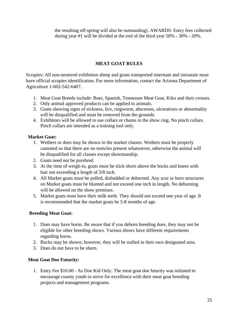the resulting off-spring will also be outstanding). AWARDS: Entry fees collected during year #1 will be divided at the end of the third year 50% - 30% - 20%.

#### **MEAT GOAT RULES**

<span id="page-24-0"></span>Scrapies: All non-neutered exhibition sheep and goats transported interstate and intrastate must have official scrapies identification. For more information, contact the Arizona Department of Agriculture 1-602-542-6407.

- 1. Meat Goat Breeds include: Boer, Spanish, Tennessee Meat Goat, Kiko and their crosses.
- 2. Only animal approved products can be applied to animals.
- 3. Goats showing signs of sickness, lice, ringworm, abscesses, ulcerations or abnormality will be disqualified and must be removed from the grounds.
- 4. Exhibitors will be allowed to use collars or chains in the show ring. No pinch collars. Pinch collars are intended as a training tool only.

#### <span id="page-24-1"></span>**Market Goat:**

- 1. Wethers or does may be shown in the market classes. Wethers must be properly castrated so that there are no testicles present whatsoever, otherwise the animal will be disqualified for all classes except showmanship.
- 2. Goats need not be purebred.
- 3. At the time of weigh-in, goats must be slick shorn above the hocks and knees with hair not exceeding a length of 3/8 inch.
- 4. All Market goats must be polled, disbudded or dehorned. Any scur or horn structures on Market goats must be blunted and not exceed one inch in length. No dehorning will be allowed on the show premises.
- 5. Market goats must have their milk teeth. They should not exceed one year of age. It is recommended that the market goats be 5-8 months of age.

#### <span id="page-24-2"></span>**Breeding Meat Goat:**

- 1. Does may have horns. Be aware that if you dehorn breeding does, they may not be eligible for other breeding shows. Various shows have different requirements regarding horns.
- 2. Bucks may be shown; however, they will be stalled in their own designated area.
- 3. Does do not have to be shorn.

#### <span id="page-24-3"></span>**Meat Goat Doe Futurity:**

1. Entry Fee \$10.00 - As Doe Kid Only. The meat goat doe futurity was initiated to encourage county youth to strive for excellence with their meat goat breeding projects and management programs.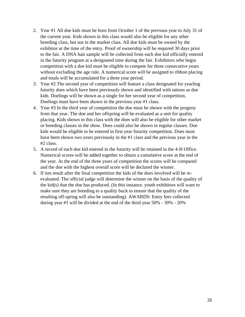- 2. Year #1 All doe kids must be born from October 1 of the previous year to July 31 of the current year. Kids shown in this class would also be eligible for any other breeding class, but not in the market class. All doe kids must be owned by the exhibitor at the time of the entry. Proof of ownership will be required 30 days prior to the fair. A DNA hair sample will be collected from each doe kid officially entered in the futurity program at a designated time during the fair. Exhibitors who begin competition with a doe kid must be eligible to compete for three consecutive years without excluding the age rule. A numerical score will be assigned to ribbon placing and totals will be accumulated for a three year period.
- 3. Year #2 The second year of competition will feature a class designated for yearling futurity does which have been previously shown and identified with tattoos as doe kids. Doelings will be shown as a single for her second year of competition. Doelings must have been shown in the previous year #1 class.
- 4. Year #3 In the third year of competition the doe must be shown with the progeny from that year. The doe and her offspring will be evaluated as a unit for quality placing. Kids shown in this class with the does will also be eligible for other market or breeding classes in the show. Does could also be shown in regular classes. Doe kids would be eligible to be entered in first year futurity competition. Does must have been shown two years previously in the #1 class and the previous year in the #2 class.
- 5. A record of each doe kid entered in the futurity will be retained in the 4-H Office. Numerical scores will be added together to obtain a cumulative score at the end of the year. At the end of the three years of competition the scores will be compared and the doe with the highest overall score will be declared the winner.
- 6. If ties result after the final competition the kids of the does involved will be reevaluated. The official judge will determine the winner on the basis of the quality of the kid(s) that the doe has produced. (In this instance, youth exhibitors will want to make sure they are breeding to a quality buck to ensure that the quality of the resulting off-spring will also be outstanding). AWARDS: Entry fees collected during year #1 will be divided at the end of the third year 50% - 30% - 20%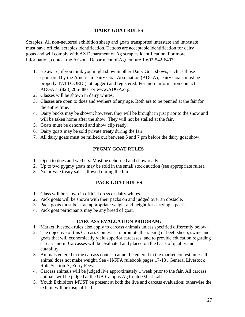#### **DAIRY GOAT RULES**

<span id="page-26-0"></span>Scrapies. All non-neutered exhibition sheep and goats transported interstate and intrastate must have official scrapies identification. Tattoos are acceptable identification for dairy goats and will comply with AZ Department of Ag scrapies identification. For more information, contact the Arizona Department of Agriculture 1-602-542-6407.

- 1. Be aware, if you think you might show in other Dairy Goat shows, such as those sponsored by the American Dairy Goat Association (ADGA), Dairy Goats must be properly TATTOOED (not tagged) and registered. For more information contact ADGA at (828) 286-3801 or [www.ADGA.org](http://www.adga.org/)
- 2. Classes will be shown in dairy whites.
- 3. Classes are open to does and wethers of any age. Both are to be penned at the fair for the entire time.
- 4. Dairy bucks may be shown; however, they will be brought in just prior to the show and will be taken home after the show. They will not be stalled at the fair.
- 5. Goats must be dehorned and show clip ready.
- 6. Dairy goats may be sold private treaty during the fair.
- <span id="page-26-1"></span>7. All dairy goats must be milked out between 6 and 7 pm before the dairy goat show.

#### **PYGMY GOAT RULES**

- 1. Open to does and wethers. Must be dehorned and show ready.
- 2. Up to two pygmy goats may be sold in the small stock auction (see appropriate rules).
- <span id="page-26-2"></span>3. No private treaty sales allowed during the fair.

#### **PACK GOAT RULES**

- 1. Class will be shown in official dress or dairy whites.
- 2. Pack goats will be shown with their packs on and judged over an obstacle.
- 3. Pack goats must be at an appropriate weight and height for carrying a pack.
- 4. Pack goat participants may be any breed of goat.

#### **CARCASS EVALUATION PROGRAM:**

- <span id="page-26-3"></span>1. Market livestock rules also apply to carcass animals unless specified differently below.
- 2. The objective of this Carcass Contest is to promote the raising of beef, sheep, swine and goats that will economically yield superior carcasses, and to provide education regarding carcass merit. Carcasses will be evaluated and placed on the basis of quality and cutability.
- 3. Animals entered in the carcass contest cannot be entered in the market contest unless the animal does not make weight. See 4H/FFA rulebook pages 17-18 , General Livestock Rule Section A, Entry Fees.
- 4. Carcass animals will be judged live approximately 1 week prior to the fair. All carcass animals will be judged at the UA Campus Ag Center/Meat Lab.
- 5. Youth Exhibitors MUST be present at both the live and carcass evaluation; otherwise the exhibit will be disqualified.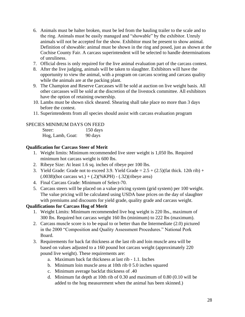- 6. Animals must be halter broken, must be led from the hauling trailer to the scale and to the ring. Animals must be easily managed and "showable" by the exhibitor. Unruly animals will not be accepted for the show. Exhibitor must be present to show animal. Definition of showable: animal must be shown in the ring and posed, just as shown at the Cochise County Fair. A carcass superintendent will be selected to handle determinations of unruliness.
- 7. Official dress is only required for the live animal evaluation part of the carcass contest.
- 8. After the live judging, animals will be taken to slaughter. Exhibitors will have the opportunity to view the animal, with a program on carcass scoring and carcass quality while the animals are at the packing plant.
- 9. The Champion and Reserve Carcasses will be sold at auction on live weight basis. All other carcasses will be sold at the discretion of the livestock committee. All exhibitors have the option of retaining ownership.
- 10. Lambs must be shown slick sheared. Shearing shall take place no more than 3 days before the contest.
- 11. Superintendents from all species should assist with carcass evaluation program

#### SPECIES MINIMUM DAYS ON FEED

Steer: 150 days Hog, Lamb, Goat: 90 days

#### <span id="page-27-0"></span>**Qualification for Carcass Steer of Merit**

- 1. Weight limits: Minimum recommended live steer weight is 1,050 lbs. Required minimum hot carcass weight is 600 lbs.
- 2. Ribeye Size: At least 1.6 sq. inches of ribeye per 100 lbs.
- 3. Yield Grade: Grade not to exceed 3.9. Yield Grade  $= 2.5 + (2.5)($ fat thick. 12th rib) +  $(.0038)$ (hot carcass wt.) +  $(.2)$ (%KPH) -  $(.32)$ (ribeye area)
- 4. Final Carcass Grade: Minimum of Select-70.
- 5. Carcass steers will be placed on a value pricing system (grid system) per 100 weight. The value pricing will be calculated using USDA base prices on the day of slaughter with premiums and discounts for yield grade, quality grade and carcass weight.

#### <span id="page-27-1"></span>**Qualifications for Carcass Hog of Merit**

- 1. Weight Limits: Minimum recommended live hog weight is 220 lbs., maximum of 300 lbs. Required hot carcass weight 160 lbs (minimum) to 222 lbs (maximum).
- 2. Carcass muscle score is to be equal to or better than the Intermediate (2.0) pictured in the 2000 "Composition and Quality Assessment Procedures." National Pork Board.
- 3. Requirements for back fat thickness at the last rib and loin muscle area will be based on values adjusted to a 160 pound hot carcass weight (approximately 220 pound live weight). These requirements are:
	- a. Maximum back fat thickness at last rib 1.1. Inches
	- b. Minimum loin muscle area at 10th rib 0 5.0 inches squared
	- c. Minimum average backfat thickness of .40
	- d. Minimum fat depth at 10th rib of 0.30 and maximum of 0.80 (0.10 will be added to the hog measurement when the animal has been skinned.)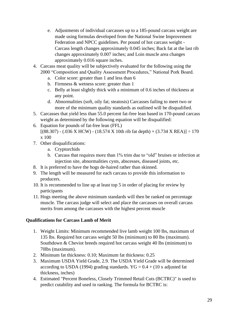- e. Adjustments of individual carcasses up to a 185-pound carcass weight are made using formulas developed from the National Swine Improvement Federation and NPCC guidelines. Per pound of hot carcass weight - Carcass length changes approximately 0.045 inches; Back fat at the last rib changes approximately 0.007 inches; and Loin muscle area changes approximately 0.016 square inches.
- 4. Carcass meat quality will be subjectively evaluated for the following using the 2000 "Composition and Quality Assessment Procedures," National Pork Board.
	- a. Color score: greater than 1 and less than 6
	- b. Firmness & wetness score: greater than 1
	- c. Belly at least slightly thick with a minimum of 0.6 inches of thickness at any point.
	- d. Abnormalities (soft, oily fat; steatosis) Carcasses failing to meet two or more of the minimum quality standards as outlined will be disqualified.
- 5. Carcasses that yield less than 55.0 percent fat-free lean based in 170-pound carcass weight as determined by the following equation will be disqualified:
- 6. Equation for pounds of fat-free lean (FFL)  $[(88.307) - (0.036 \text{ X HCW}) - (18.574 \text{ X} 10 \text{th} \text{ rib } \text{fat depth}) + (3.734 \text{ X REA})] \div 170$ x 100
- 7. Other disqualifications:
	- a. Cryptorchids
	- b. Carcass that requires more than 1% trim due to "old" bruises or infection at injection site, abnormalities cysts, abscesses, diseased joints, etc.
- 8. It is preferred to have the hogs de-haired rather than skinned.
- 9. The length will be measured for each carcass to provide this information to producers.
- 10. It is recommended to line up at least top 5 in order of placing for review by participants
- 11. Hogs meeting the above minimum standards will then be ranked on percentage muscle. The carcass judge will select and place the carcasses on overall carcass merits from among the carcasses with the highest percent muscle

#### <span id="page-28-0"></span>**Qualifications for Carcass Lamb of Merit**

- 1. Weight Limits: Minimum recommended live lamb weight 100 lbs, maximum of 135 lbs. Required hot carcass weight 50 lbs (minimum) to 80 lbs (maximum). Southdown & Cheviot breeds required hot carcass weight 40 lbs (minimum) to 70lbs (maximum).
- 2. Minimum fat thickness: 0.10; Maximum fat thickness: 0.25
- 3. Maximum USDA Yield Grade, 2.9. The USDA Yield Grade will be determined according to USDA (1994) grading standards.  $YG = 0.4 + (10 \text{ x adjusted fat})$ thickness, inches)
- 4. Estimated "Percent Boneless, Closely Trimmed Retail Cuts (BCTRC)" is used to predict cutability and used in ranking. The formula for BCTRC is: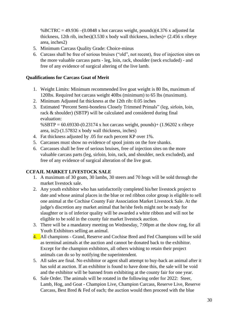%BCTRC =  $49.936 - (0.0848 \text{ x} \text{ hot} \text{ car} \text{cass} \text{ weight}, \text{pounds})(4.376 \text{ x} \text{ adjusted fat})$ thickness, 12th rib, inches)(3.530 x body wall thickness, inches)+  $(2.456 \times$  ribeye area, inches2)

- 5. Minimum Carcass Quality Grade: Choice-minus
- 6. Carcass shall be free of serious bruises ("old", not recent), free of injection sites on the more valuable carcass parts - leg, loin, rack, shoulder (neck excluded) - and free of any evidence of surgical altering of the live lamb.

#### <span id="page-29-0"></span>**Qualifications for Carcass Goat of Merit**

- 1. Weight Limits: Minimum recommended live goat weight is 80 lbs, maximum of 120lbs. Required hot carcass weight 40lbs (minimum) to 65 lbs (maximum).
- 2. Minimum Adjusted fat thickness at the 12th rib: 0.05 inches
- 3. Estimated "Percent Semi-boneless Closely Trimmed Primals" (leg, sirloin, loin, rack & shoulder) (SBTP) will be calculated and considered during final evaluation:

%SBTP = 60.69330-(0.23174 x hot carcass weight, pounds)+ (1.96202 x ribeye area, in2)-(1.57832 x body wall thickness, inches)

- 4. Fat thickness adjusted by .05 for each percent KP over 1%.
- 5. Carcasses must show no evidence of spool joints on the fore shanks.
- 6. Carcasses shall be free of serious bruises, free of injection sites on the more valuable carcass parts (leg, sirloin, loin, rack, and shoulder, neck excluded), and free of any evidence of surgical alteration of the live goat.

#### <span id="page-29-1"></span>**CCFAJL MARKET LIVESTOCK SALE**

- 1. A maximum of 30 goats, 30 lambs, 30 steers and 70 hogs will be sold through the market livestock sale.
- 2. Any youth exhibitor who has satisfactorily completed his/her livestock project to date and whose animal places in the blue or red ribbon color group is eligible to sell one animal at the Cochise County Fair Association Market Livestock Sale. At the judge's discretion any market animal that he/she feels might not be ready for slaughter or is of inferior quality will be awarded a white ribbon and will not be eligible to be sold in the county fair market livestock auction.
- 3. There will be a mandatory meeting on Wednesday, 7:00pm at the show ring, for all Youth Exhibitors selling an animal.
- 4. All champions Grand, Reserve and Cochise Bred and Fed Champions will be sold as terminal animals at the auction and cannot be donated back to the exhibitor. Except for the champion exhibitors, all others wishing to retain their project animals can do so by notifying the superintendent.
- 5. All sales are final. No exhibitor or agent shall attempt to buy-back an animal after it has sold at auction. If an exhibitor is found to have done this, the sale will be void and the exhibitor will be banned from exhibiting at the county fair for one year.
- 6. Sale Order. The animals will be rotated in the following order for 2022: Steer, Lamb, Hog, and Goat - Champion Live, Champion Carcass, Reserve Live, Reserve Carcass, Best Bred & Fed of each; the auction would then proceed with the blue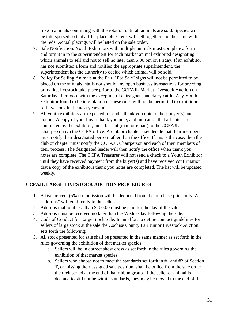ribbon animals continuing with the rotation until all animals are sold. Species will be interspersed so that all 1st place blues, etc. will sell together and the same with the reds. Actual placings will be listed on the sale order.

- 7. Sale Notification. Youth Exhibitors with multiple animals must complete a form and turn it in to the superintendent for each market animal exhibited designating which animals to sell and not to sell no later than 5:00 pm on Friday. If an exhibitor has not submitted a form and notified the appropriate superintendent, the superintendent has the authority to decide which animal will be sold.
- 8. Policy for Selling Animals at the Fair. "For Sale" signs will not be permitted to be placed on the animals' stalls nor should any open business transactions for breeding or market livestock take place prior to the CCFAJL Market Livestock Auction on Saturday afternoon, with the exception of dairy goats and dairy cattle. Any Youth Exhibitor found to be in violation of these rules will not be permitted to exhibit or sell livestock in the next year's fair.
- 9. All youth exhibitors are expected to send a thank you note to their buyer(s) and donors. A copy of your buyer thank you note, and indication that all notes are completed by the exhibitor, must be sent (mail or email) to the CCFAJL Chairperson c/o the CCFA office. A club or chapter may decide that their members must notify their designated person rather than the office. If this is the case, then the club or chapter must notify the CCFAJL Chairperson and each of their members of their process. The designated leader will then notify the office when thank you notes are complete. The CCFA Treasurer will not send a check to a Youth Exhibitor until they have received payment from the buyer(s) and have received confirmation that a copy of the exhibitors thank you notes are completed. The list will be updated weekly.

#### <span id="page-30-0"></span>**CCFAJL LARGE LIVESTOCK AUCTION PROCEDURES**

- 1. A five percent (5%) commission will be deducted from the purchase price only. All "add-ons" will go directly to the seller.
- 2. Add-ons that total less than \$100.00 must be paid for the day of the sale.
- 3. Add-ons must be received no later than the Wednesday following the sale.
- 4. Code of Conduct for Large Stock Sale: In an effort to define conduct guidelines for sellers of large stock at the sale the Cochise County Fair Junior Livestock Auction sets forth the following:
- 5. All stock presented for sale shall be presented in the same manner as set forth in the rules governing the exhibition of that market species.
	- a. Sellers will be in correct show dress as set forth in the rules governing the exhibition of that market species.
	- b. Sellers who choose not to meet the standards set forth in #1 and #2 of Section T, or missing their assigned sale position, shall be pulled from the sale order, then reinserted at the end of that ribbon group. If the seller or animal is deemed to still not be within standards, they may be moved to the end of the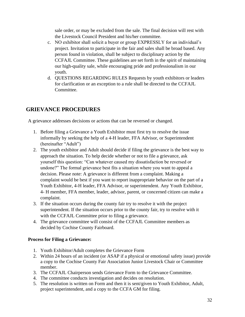sale order, or may be excluded from the sale. The final decision will rest with the Livestock Council President and his/her committee.

- c. NO exhibitor shall solicit a buyer or group EXPRESSLY for an individual's project. Invitation to participate in the fair and sales shall be broad based. Any person found in violation, shall be subject to disciplinary action by the CCFAJL Committee. These guidelines are set forth in the spirit of maintaining our high-quality sale, while encouraging pride and professionalism in our youth.
- d. QUESTIONS REGARDING RULES Requests by youth exhibitors or leaders for clarification or an exception to a rule shall be directed to the CCFAJL Committee.

# <span id="page-31-0"></span>**GRIEVANCE PROCEDURES**

A grievance addresses decisions or actions that can be reversed or changed.

- 1. Before filing a Grievance a Youth Exhibitor must first try to resolve the issue informally by seeking the help of a 4-H leader, FFA Advisor, or Superintendent (hereinafter "Adult")
- 2. The youth exhibitor and Adult should decide if filing the grievance is the best way to approach the situation. To help decide whether or not to file a grievance, ask yourself this question: "Can whatever caused my dissatisfaction be reversed or undone?" The formal grievance best fits a situation where you want to appeal a decision. Please note: A grievance is different from a complaint. Making a complaint would be best if you want to report inappropriate behavior on the part of a Youth Exhibitor, 4-H leader, FFA Advisor, or superintendent. Any Youth Exhibitor, 4- H member, FFA member, leader, advisor, parent, or concerned citizen can make a complaint.
- 3. If the situation occurs during the county fair try to resolve it with the project superintendent. If the situation occurs prior to the county fair, try to resolve with it with the CCFAJL Committee prior to filing a grievance.
- 4. The grievance committee will consist of the CCFAJL Committee members as decided by Cochise County Fairboard.

#### <span id="page-31-1"></span>**Process for Filing a Grievance:**

- 1. Youth Exhibitor/Adult completes the Grievance Form
- 2. Within 24 hours of an incident (or ASAP if a physical or emotional safety issue) provide a copy to the Cochise County Fair Association Junior Livestock Chair or Committee member.
- 3. The CCFAJL Chairperson sends Grievance Form to the Grievance Committee.
- 4. The committee conducts investigation and decides on resolution.
- 5. The resolution is written on Form and then it is sent/given to Youth Exhibitor, Adult, project superintendent, and a copy to the CCFA GM for filing.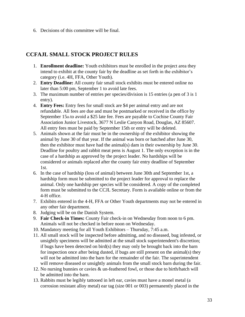6. Decisions of this committee will be final.

## <span id="page-32-0"></span>**CCFAJL SMALL STOCK PROJECT RULES**

- 1. **Enrollment deadline:** Youth exhibitors must be enrolled in the project area they intend to exhibit at the county fair by the deadline as set forth in the exhibitor's category (i.e. 4H, FFA, Other Youth).
- 2. **Entry Deadline:** All county fair small stock exhibits must be entered online no later than 5:00 pm, September 1 to avoid late fees.
- 3. The maximum number of entries per species/division is 15 entries (a pen of 3 is 1 entry).
- 4. **Entry Fees:** Entry fees for small stock are \$4 per animal entry and are not refundable. All fees are due and must be postmarked or received in the office by September 15th to avoid a \$25 late fee. Fees are payable to Cochise County Fair Association Junior Livestock, 3677 N Leslie Canyon Road, Douglas, AZ 85607. All entry fees must be paid by September 15th or entry will be deleted.
- 5. Animals shown at the fair must be in the ownership of the exhibitor showing the animal by June 30 of that year. If the animal was born or hatched after June 30, then the exhibitor must have had the animal(s) dam in their ownership by June 30. Deadline for poultry and rabbit meat pens is August 1. The only exception is in the case of a hardship as approved by the project leader. No hardships will be considered or animals replaced after the county fair entry deadline of September 1st.
- 6. In the case of hardship (loss of animal) between June 30th and September 1st, a hardship form must be submitted to the project leader for approval to replace the animal. Only one hardship per species will be considered. A copy of the completed form must be submitted to the CCJL Secretary. Form is available online or from the 4-H office.
- 7. Exhibits entered in the 4-H, FFA or Other Youth departments may not be entered in any other fair department.
- 8. Judging will be on the Danish System.
- 9. **Fair Check-in Times:** County Fair check-in on Wednesday from noon to 6 pm. Animals will not be checked in before noon on Wednesday.
- 10. Mandatory meeting for all Youth Exhibitors Thursday, 7:45 a.m.
- 11. All small stock will be inspected before admitting, and no diseased, bug infested, or unsightly specimens will be admitted at the small stock superintendent's discretion; if bugs have been detected on bird(s) they may only be brought back into the barn for inspection once after being dusted, if bugs are still present on the animal(s) they will not be admitted into the barn for the remainder of the fair. The superintendent will remove diseased or unsightly animals from the small stock barn during the fair.
- 12. No nursing bunnies or cavies & un-feathered fowl, or those due to birth/hatch will be admitted into the barn.
- 13. Rabbits must be legibly tattooed in left ear, cavies must have a monel metal (a corrosion resistant alloy metal) ear tag (size 001 or 003) permanently placed in the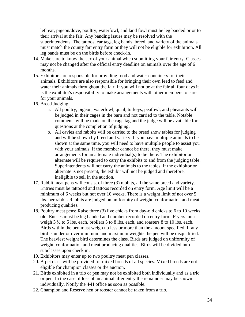left ear, pigeon/dove, poultry, waterfowl, and land fowl must be leg banded prior to their arrival at the fair. Any banding issues may be resolved with the superintendents. The tattoos, ear tags, leg bands, breed, and variety of the animals must match the county fair entry form or they will not be eligible for exhibition. All leg bands must be on the birds before check-in.

- 14. Make sure to know the sex of your animal when submitting your fair entry. Classes may not be changed after the official entry deadline on animals over the age of 6 months.
- 15. Exhibitors are responsible for providing food and water containers for their animals. Exhibitors are also responsible for bringing their own feed to feed and water their animals throughout the fair. If you will not be at the fair all four days it is the exhibitor's responsibility to make arrangements with other members to care for your animals.
- 16. Breed Judging:
	- a. All poultry, pigeon, waterfowl, quail, turkeys, peafowl, and pheasants will be judged in their cages in the barn and not carried to the table. Notable comments will be made on the cage tag and the judge will be available for questions at the completion of judging.
	- b. All cavies and rabbits will be carried to the breed show tables for judging and will be shown by breed and variety. If you have multiple animals to be shown at the same time, you will need to have multiple people to assist you with your animals. If the member cannot be there, they must make arrangements for an alternate individual(s) to be there. The exhibitor or alternate will be required to carry the exhibits to and from the judging table. Superintendents will not carry the animals to the tables. If the exhibitor or alternate is not present, the exhibit will not be judged and therefore, ineligible to sell in the auction.
- 17. Rabbit meat pens will consist of three (3) rabbits, all the same breed and variety. Entries must be tattooed and tattoos recorded on entry form. Age limit will be a minimum of 6 weeks but not over 10 weeks. There is a weight limit of not over 5 lbs. per rabbit. Rabbits are judged on uniformity of weight, conformation and meat producing qualities.
- 18. Poultry meat pens: Raise three (3) live chicks from day-old chicks to 6 to 10 weeks old. Entries must be leg banded and number recorded on entry form. Fryers must weigh 3 ½ to 5 lbs. each, broilers 5 to 8 lbs. each, and roasters 8 to 10 lbs. each. Birds within the pen must weigh no less or more than the amount specified. If any bird is under or over minimum and maximum weights the pen will be disqualified. The heaviest weight bird determines the class. Birds are judged on uniformity of weight, conformation and meat producing qualities. Birds will be divided into subclasses upon check in.
- 19. Exhibitors may enter up to two poultry meat pen classes.
- 20. A pet class will be provided for mixed breeds of all species. Mixed breeds are not eligible for champion classes or the auction.
- 21. Birds exhibited in a trio or pen may not be exhibited both individually and as a trio or pen. In the case of loss of an animal after entry the remainder may be shown individually. Notify the 4-H office as soon as possible.
- 22. Champion and Reserve hen or rooster cannot be taken from a trio.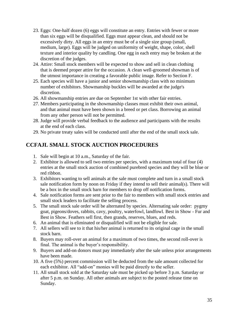- 23. Eggs: One-half dozen (6) eggs will constitute an entry. Entries with fewer or more than six eggs will be disqualified. Eggs must appear clean, and should not be excessively dirty. All eggs in an entry must be of a single size group (small, medium, large). Eggs will be judged on uniformity of weight, shape, color, shell texture and interior quality by candling. One egg in each entry may be broken at the discretion of the judges.
- 24. Attire: Small stock members will be expected to show and sell in clean clothing that is deemed proper attire for the occasion. A clean well-groomed showman is of the utmost importance in creating a favorable public image. Refer to Section F.
- 25. Each species will have a junior and senior showmanship class with no minimum number of exhibitors. Showmanship buckles will be awarded at the judge's discretion.
- 26. All showmanship entries are due on September 1st with other fair entries.
- 27. Members participating in the showmanship classes must exhibit their own animal, and that animal must have been shown in a breed or pet class. Borrowing an animal from any other person will not be permitted.
- 28. Judge will provide verbal feedback to the audience and participants with the results at the end of each class.
- 29. No private treaty sales will be conducted until after the end of the small stock sale.

# <span id="page-34-0"></span>**CCFAJL SMALL STOCK AUCTION PROCEDURES**

- 1. Sale will begin at 10 a.m., Saturday of the fair.
- 2. Exhibitor is allowed to sell two entries per species, with a maximum total of four (4) entries at the small stock auction of combined purebred species and they will be blue or red ribbon.
- 3. Exhibitors wanting to sell animals at the sale must complete and turn in a small stock sale notification form by noon on Friday if they intend to sell their animal(s). There will be a box in the small stock barn for members to drop off notification forms.
- 4. Sale notification forms are sent prior to the fair to members with small stock entries and small stock leaders to facilitate the selling process.
- 5. The small stock sale order will be alternated by species. Alternating sale order: pygmy goat, pigeons/doves, rabbits, cavy, poultry, waterfowl, landfowl. Best in Show - Fur and Best in Show. Feathers sell first, then grands, reserves, blues, and reds.
- 6. An animal that is eliminated or disqualified will not be eligible for sale.
- 7. All sellers will see to it that his/her animal is returned to its original cage in the small stock barn.
- 8. Buyers may roll-over an animal for a maximum of two times, the second roll-over is final. The animal is the buyer's responsibility.
- 9. Buyers and add-on donors must pay immediately after the sale unless prior arrangements have been made.
- 10. A five (5%) percent commission will be deducted from the sale amount collected for each exhibitor. All "add-on" monies will be paid directly to the seller.
- 11. All small stock sold at the Saturday sale must be picked up before 3 p.m. Saturday or after 5 p.m. on Sunday. All other animals are subject to the posted release time on Sunday.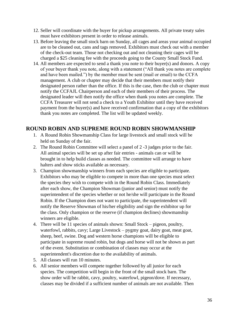- 12. Seller will coordinate with the buyer for pickup arrangements. All private treaty sales must have exhibitors present in order to release animals.
- 13. Before leaving the small stock barn on Sunday, all cages and areas your animal occupied are to be cleaned out, cans and tags removed. Exhibitors must check out with a member of the check-out team. Those not checking out and not cleaning their cages will be charged a \$25 cleaning fee with the proceeds going to the County Small Stock Fund.
- 14. All members are expected to send a thank you note to their buyer(s) and donors. A copy of your buyer thank you note, along with a statement ("All thank you notes are complete and have been mailed.") by the member must be sent (mail or email) to the CCFA management. A club or chapter may decide that their members must notify their designated person rather than the office. If this is the case, then the club or chapter must notify the CCFAJL Chairperson and each of their members of their process. The designated leader will then notify the office when thank you notes are complete. The CCFA Treasurer will not send a check to a Youth Exhibitor until they have received payment from the buyer(s) and have received confirmation that a copy of the exhibitors thank you notes are completed. The list will be updated weekly.

#### <span id="page-35-0"></span>**ROUND ROBIN AND SUPREME ROUND ROBIN SHOWMANSHIP**

- 1. A Round Robin Showmanship Class for large livestock and small stock will be held on Sunday of the fair.
- 2. The Round Robin Committee will select a panel of 2 -3 judges prior to the fair. All animal species will be set up after fair entries - animals can or will be brought in to help build classes as needed. The committee will arrange to have halters and show sticks available as necessary.
- 3. Champion showmanship winners from each species are eligible to participate. Exhibitors who may be eligible to compete in more than one species must select the species they wish to compete with in the Round Robin Class. Immediately after each show, the Champion Showman (junior and senior) must notify the superintendent of the species whether or not he/she will participate in the Round Robin. If the Champion does not want to participate, the superintendent will notify the Reserve Showman of his/her eligibility and sign the exhibitor up for the class. Only champion or the reserve (if champion declines) showmanship winners are eligible.
- 4. There will be 11 species of animals shown: Small Stock pigeon, poultry, waterfowl, rabbits, cavy; Large Livestock – pygmy goat, dairy goat, meat goat, sheep, beef, swine. Dog and western horse champions will be eligible to participate in supreme round robin, but dogs and horse will not be shown as part of the event. Substitution or combination of classes may occur at the superintendent's discretion due to the availability of animals.
- 5. All classes will run 10 minutes.
- 6. All senior members will compete together followed by all junior for each species. The competition will begin in the front of the small stock barn. The show order will be rabbit, cavy, poultry, waterfowl, pigeon/dove. If necessary, classes may be divided if a sufficient number of animals are not available. Then